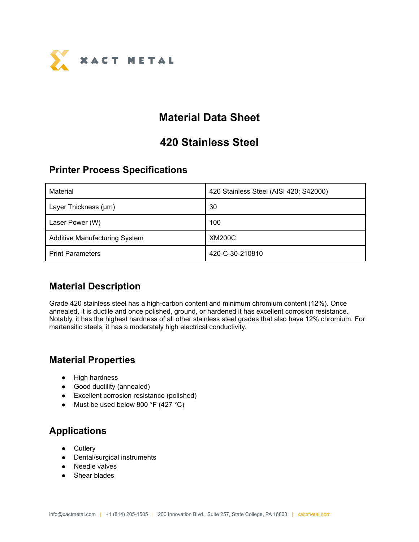

# **Material Data Sheet**

## **420 Stainless Steel**

#### **Printer Process Specifications**

| Material                             | 420 Stainless Steel (AISI 420; S42000) |  |
|--------------------------------------|----------------------------------------|--|
| Layer Thickness (µm)                 | 30                                     |  |
| Laser Power (W)                      | 100                                    |  |
| <b>Additive Manufacturing System</b> | <b>XM200C</b>                          |  |
| <b>Print Parameters</b>              | 420-C-30-210810                        |  |

#### **Material Description**

Grade 420 stainless steel has a high-carbon content and minimum chromium content (12%). Once annealed, it is ductile and once polished, ground, or hardened it has excellent corrosion resistance. Notably, it has the highest hardness of all other stainless steel grades that also have 12% chromium. For martensitic steels, it has a moderately high electrical conductivity.

#### **Material Properties**

- High hardness
- Good ductility (annealed)
- Excellent corrosion resistance (polished)
- Must be used below 800  $\degree$ F (427  $\degree$ C)

### **Applications**

- Cutlery
- Dental/surgical instruments
- Needle valves
- Shear blades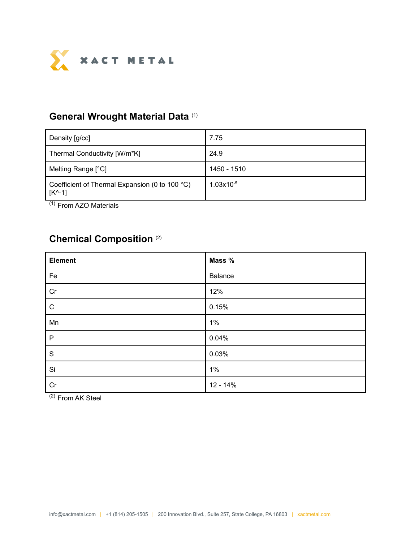

#### **General Wrought Material Data** (1)

| Density [g/cc]                                                                     | 7.75           |
|------------------------------------------------------------------------------------|----------------|
| Thermal Conductivity [W/m*K]                                                       | 24.9           |
| Melting Range [°C]                                                                 | 1450 - 1510    |
| Coefficient of Thermal Expansion (0 to 100 °C)<br>$\lfloor K^{\wedge} - 1 \rfloor$ | $1.03x10^{-5}$ |

(1) From AZO Materials

### **Chemical Composition** (2)

| <b>Element</b> | Mass %         |
|----------------|----------------|
| Fe             | <b>Balance</b> |
| Cr             | 12%            |
| ${\bf C}$      | 0.15%          |
| Mn             | $1\%$          |
| ${\sf P}$      | 0.04%          |
| ${\mathsf S}$  | 0.03%          |
| Si             | $1\%$          |
| Cr             | $12 - 14%$     |

(2) From AK Steel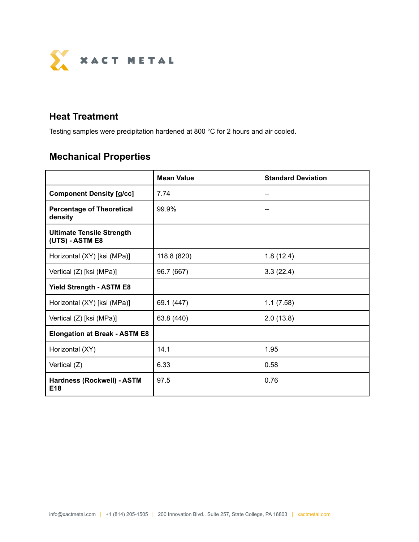

#### **Heat Treatment**

Testing samples were precipitation hardened at 800 °C for 2 hours and air cooled.

# **Mechanical Properties**

|                                                     | <b>Mean Value</b><br><b>Standard Deviation</b> |           |  |
|-----------------------------------------------------|------------------------------------------------|-----------|--|
| <b>Component Density [g/cc]</b>                     | 7.74                                           |           |  |
| <b>Percentage of Theoretical</b><br>density         | 99.9%                                          |           |  |
| <b>Ultimate Tensile Strength</b><br>(UTS) - ASTM E8 |                                                |           |  |
| Horizontal (XY) [ksi (MPa)]                         | 118.8 (820)                                    | 1.8(12.4) |  |
| Vertical (Z) [ksi (MPa)]                            | 96.7 (667)                                     | 3.3(22.4) |  |
| <b>Yield Strength - ASTM E8</b>                     |                                                |           |  |
| Horizontal (XY) [ksi (MPa)]                         | 69.1 (447)                                     | 1.1(7.58) |  |
| Vertical (Z) [ksi (MPa)]                            | 63.8 (440)                                     | 2.0(13.8) |  |
| <b>Elongation at Break - ASTM E8</b>                |                                                |           |  |
| Horizontal (XY)                                     | 14.1                                           | 1.95      |  |
| Vertical (Z)                                        | 6.33                                           | 0.58      |  |
| Hardness (Rockwell) - ASTM<br>E <sub>18</sub>       | 97.5                                           | 0.76      |  |